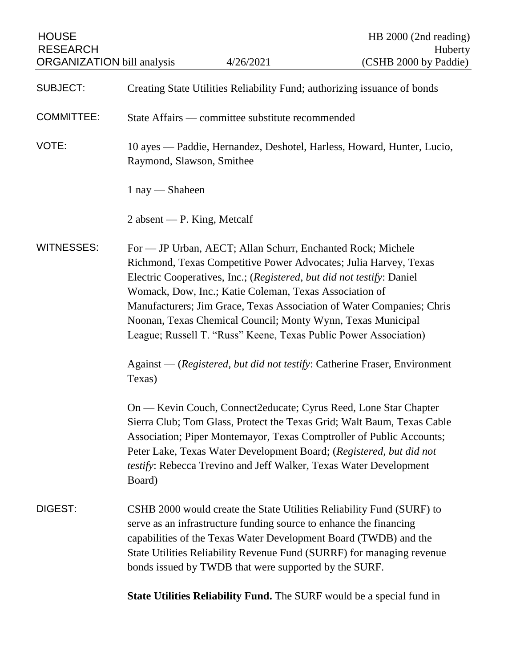| <b>HOUSE</b><br><b>RESEARCH</b>   |                                                                                                                                                                                                                                                                                                                                                                                                                                                                                |                                                                   | HB 2000 (2nd reading)<br>Huberty                                                                                                                                                                                                                                                          |
|-----------------------------------|--------------------------------------------------------------------------------------------------------------------------------------------------------------------------------------------------------------------------------------------------------------------------------------------------------------------------------------------------------------------------------------------------------------------------------------------------------------------------------|-------------------------------------------------------------------|-------------------------------------------------------------------------------------------------------------------------------------------------------------------------------------------------------------------------------------------------------------------------------------------|
| <b>ORGANIZATION</b> bill analysis |                                                                                                                                                                                                                                                                                                                                                                                                                                                                                | 4/26/2021                                                         | (CSHB 2000 by Paddie)                                                                                                                                                                                                                                                                     |
| <b>SUBJECT:</b>                   | Creating State Utilities Reliability Fund; authorizing issuance of bonds                                                                                                                                                                                                                                                                                                                                                                                                       |                                                                   |                                                                                                                                                                                                                                                                                           |
| <b>COMMITTEE:</b>                 | State Affairs — committee substitute recommended                                                                                                                                                                                                                                                                                                                                                                                                                               |                                                                   |                                                                                                                                                                                                                                                                                           |
| VOTE:                             | 10 ayes — Paddie, Hernandez, Deshotel, Harless, Howard, Hunter, Lucio,<br>Raymond, Slawson, Smithee                                                                                                                                                                                                                                                                                                                                                                            |                                                                   |                                                                                                                                                                                                                                                                                           |
|                                   | $1$ nay — Shaheen                                                                                                                                                                                                                                                                                                                                                                                                                                                              |                                                                   |                                                                                                                                                                                                                                                                                           |
|                                   | 2 absent — P. King, Metcalf                                                                                                                                                                                                                                                                                                                                                                                                                                                    |                                                                   |                                                                                                                                                                                                                                                                                           |
| <b>WITNESSES:</b>                 | For — JP Urban, AECT; Allan Schurr, Enchanted Rock; Michele<br>Richmond, Texas Competitive Power Advocates; Julia Harvey, Texas<br>Electric Cooperatives, Inc.; (Registered, but did not testify: Daniel<br>Womack, Dow, Inc.; Katie Coleman, Texas Association of<br>Manufacturers; Jim Grace, Texas Association of Water Companies; Chris<br>Noonan, Texas Chemical Council; Monty Wynn, Texas Municipal<br>League; Russell T. "Russ" Keene, Texas Public Power Association) |                                                                   |                                                                                                                                                                                                                                                                                           |
|                                   | Against — (Registered, but did not testify: Catherine Fraser, Environment<br>Texas)                                                                                                                                                                                                                                                                                                                                                                                            |                                                                   |                                                                                                                                                                                                                                                                                           |
|                                   | Board)                                                                                                                                                                                                                                                                                                                                                                                                                                                                         | testify: Rebecca Trevino and Jeff Walker, Texas Water Development | On — Kevin Couch, Connect2educate; Cyrus Reed, Lone Star Chapter<br>Sierra Club; Tom Glass, Protect the Texas Grid; Walt Baum, Texas Cable<br>Association; Piper Montemayor, Texas Comptroller of Public Accounts;<br>Peter Lake, Texas Water Development Board; (Registered, but did not |
| DIGEST:                           | CSHB 2000 would create the State Utilities Reliability Fund (SURF) to<br>serve as an infrastructure funding source to enhance the financing<br>capabilities of the Texas Water Development Board (TWDB) and the<br>State Utilities Reliability Revenue Fund (SURRF) for managing revenue<br>bonds issued by TWDB that were supported by the SURF.                                                                                                                              |                                                                   |                                                                                                                                                                                                                                                                                           |
|                                   |                                                                                                                                                                                                                                                                                                                                                                                                                                                                                |                                                                   | State Utilities Reliability Fund. The SURF would be a special fund in                                                                                                                                                                                                                     |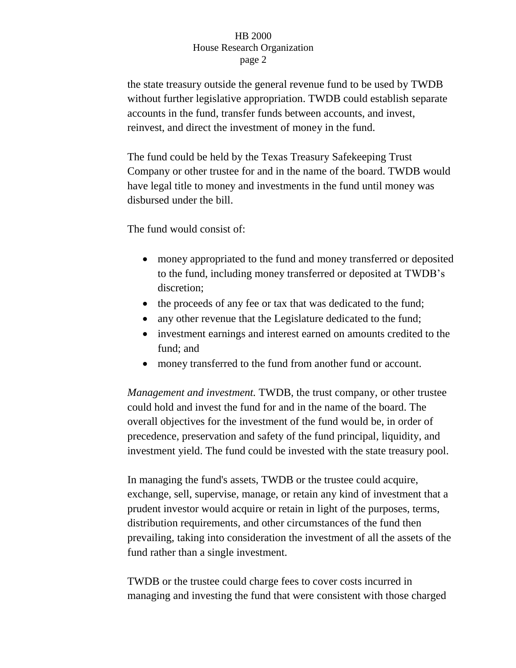the state treasury outside the general revenue fund to be used by TWDB without further legislative appropriation. TWDB could establish separate accounts in the fund, transfer funds between accounts, and invest, reinvest, and direct the investment of money in the fund.

The fund could be held by the Texas Treasury Safekeeping Trust Company or other trustee for and in the name of the board. TWDB would have legal title to money and investments in the fund until money was disbursed under the bill.

The fund would consist of:

- money appropriated to the fund and money transferred or deposited to the fund, including money transferred or deposited at TWDB's discretion;
- the proceeds of any fee or tax that was dedicated to the fund;
- any other revenue that the Legislature dedicated to the fund;
- investment earnings and interest earned on amounts credited to the fund; and
- money transferred to the fund from another fund or account.

*Management and investment.* TWDB, the trust company, or other trustee could hold and invest the fund for and in the name of the board. The overall objectives for the investment of the fund would be, in order of precedence, preservation and safety of the fund principal, liquidity, and investment yield. The fund could be invested with the state treasury pool.

In managing the fund's assets, TWDB or the trustee could acquire, exchange, sell, supervise, manage, or retain any kind of investment that a prudent investor would acquire or retain in light of the purposes, terms, distribution requirements, and other circumstances of the fund then prevailing, taking into consideration the investment of all the assets of the fund rather than a single investment.

TWDB or the trustee could charge fees to cover costs incurred in managing and investing the fund that were consistent with those charged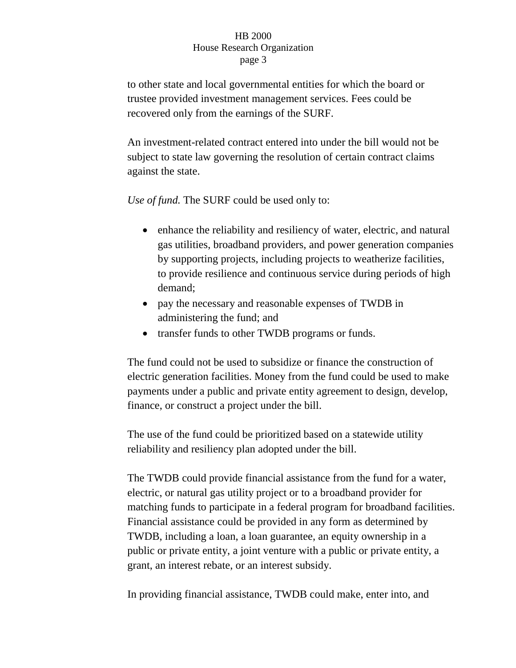to other state and local governmental entities for which the board or trustee provided investment management services. Fees could be recovered only from the earnings of the SURF.

An investment-related contract entered into under the bill would not be subject to state law governing the resolution of certain contract claims against the state.

*Use of fund.* The SURF could be used only to:

- enhance the reliability and resiliency of water, electric, and natural gas utilities, broadband providers, and power generation companies by supporting projects, including projects to weatherize facilities, to provide resilience and continuous service during periods of high demand;
- pay the necessary and reasonable expenses of TWDB in administering the fund; and
- transfer funds to other TWDB programs or funds.

The fund could not be used to subsidize or finance the construction of electric generation facilities. Money from the fund could be used to make payments under a public and private entity agreement to design, develop, finance, or construct a project under the bill.

The use of the fund could be prioritized based on a statewide utility reliability and resiliency plan adopted under the bill.

The TWDB could provide financial assistance from the fund for a water, electric, or natural gas utility project or to a broadband provider for matching funds to participate in a federal program for broadband facilities. Financial assistance could be provided in any form as determined by TWDB, including a loan, a loan guarantee, an equity ownership in a public or private entity, a joint venture with a public or private entity, a grant, an interest rebate, or an interest subsidy.

In providing financial assistance, TWDB could make, enter into, and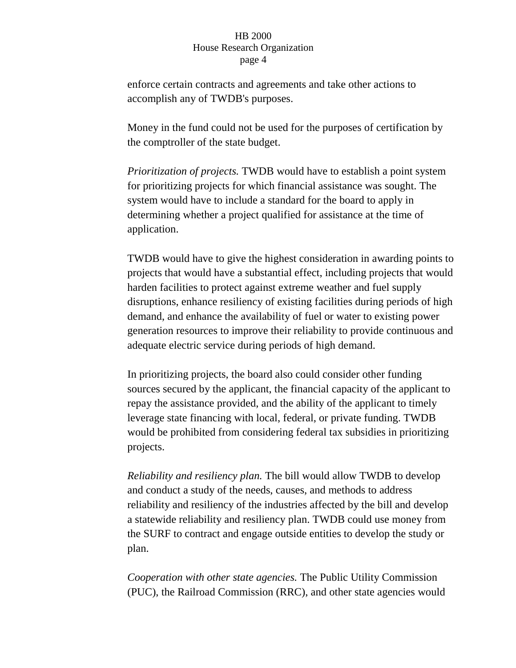enforce certain contracts and agreements and take other actions to accomplish any of TWDB's purposes.

Money in the fund could not be used for the purposes of certification by the comptroller of the state budget.

*Prioritization of projects.* TWDB would have to establish a point system for prioritizing projects for which financial assistance was sought. The system would have to include a standard for the board to apply in determining whether a project qualified for assistance at the time of application.

TWDB would have to give the highest consideration in awarding points to projects that would have a substantial effect, including projects that would harden facilities to protect against extreme weather and fuel supply disruptions, enhance resiliency of existing facilities during periods of high demand, and enhance the availability of fuel or water to existing power generation resources to improve their reliability to provide continuous and adequate electric service during periods of high demand.

In prioritizing projects, the board also could consider other funding sources secured by the applicant, the financial capacity of the applicant to repay the assistance provided, and the ability of the applicant to timely leverage state financing with local, federal, or private funding. TWDB would be prohibited from considering federal tax subsidies in prioritizing projects.

*Reliability and resiliency plan.* The bill would allow TWDB to develop and conduct a study of the needs, causes, and methods to address reliability and resiliency of the industries affected by the bill and develop a statewide reliability and resiliency plan. TWDB could use money from the SURF to contract and engage outside entities to develop the study or plan.

*Cooperation with other state agencies.* The Public Utility Commission (PUC), the Railroad Commission (RRC), and other state agencies would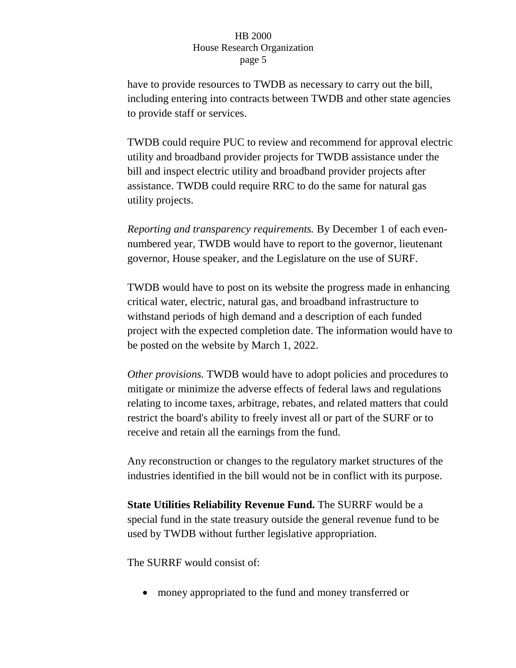have to provide resources to TWDB as necessary to carry out the bill, including entering into contracts between TWDB and other state agencies to provide staff or services.

TWDB could require PUC to review and recommend for approval electric utility and broadband provider projects for TWDB assistance under the bill and inspect electric utility and broadband provider projects after assistance. TWDB could require RRC to do the same for natural gas utility projects.

*Reporting and transparency requirements.* By December 1 of each evennumbered year, TWDB would have to report to the governor, lieutenant governor, House speaker, and the Legislature on the use of SURF.

TWDB would have to post on its website the progress made in enhancing critical water, electric, natural gas, and broadband infrastructure to withstand periods of high demand and a description of each funded project with the expected completion date. The information would have to be posted on the website by March 1, 2022.

*Other provisions.* TWDB would have to adopt policies and procedures to mitigate or minimize the adverse effects of federal laws and regulations relating to income taxes, arbitrage, rebates, and related matters that could restrict the board's ability to freely invest all or part of the SURF or to receive and retain all the earnings from the fund.

Any reconstruction or changes to the regulatory market structures of the industries identified in the bill would not be in conflict with its purpose.

**State Utilities Reliability Revenue Fund.** The SURRF would be a special fund in the state treasury outside the general revenue fund to be used by TWDB without further legislative appropriation.

The SURRF would consist of:

money appropriated to the fund and money transferred or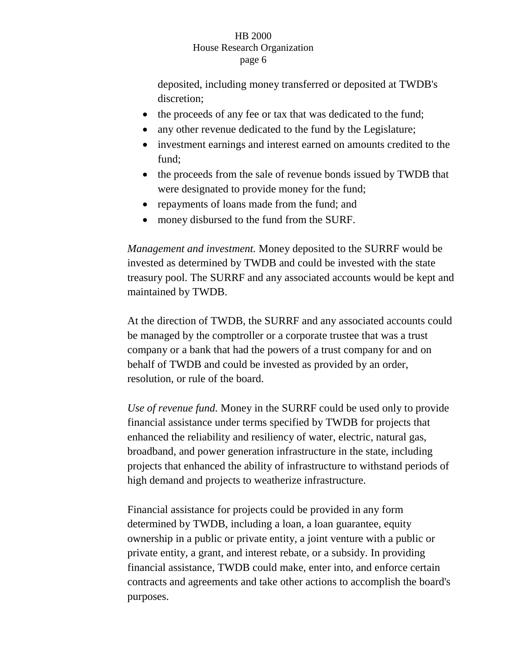deposited, including money transferred or deposited at TWDB's discretion;

- the proceeds of any fee or tax that was dedicated to the fund;
- any other revenue dedicated to the fund by the Legislature;
- investment earnings and interest earned on amounts credited to the fund;
- the proceeds from the sale of revenue bonds issued by TWDB that were designated to provide money for the fund;
- repayments of loans made from the fund; and
- money disbursed to the fund from the SURF.

*Management and investment.* Money deposited to the SURRF would be invested as determined by TWDB and could be invested with the state treasury pool. The SURRF and any associated accounts would be kept and maintained by TWDB.

At the direction of TWDB, the SURRF and any associated accounts could be managed by the comptroller or a corporate trustee that was a trust company or a bank that had the powers of a trust company for and on behalf of TWDB and could be invested as provided by an order, resolution, or rule of the board.

*Use of revenue fund.* Money in the SURRF could be used only to provide financial assistance under terms specified by TWDB for projects that enhanced the reliability and resiliency of water, electric, natural gas, broadband, and power generation infrastructure in the state, including projects that enhanced the ability of infrastructure to withstand periods of high demand and projects to weatherize infrastructure.

Financial assistance for projects could be provided in any form determined by TWDB, including a loan, a loan guarantee, equity ownership in a public or private entity, a joint venture with a public or private entity, a grant, and interest rebate, or a subsidy. In providing financial assistance, TWDB could make, enter into, and enforce certain contracts and agreements and take other actions to accomplish the board's purposes.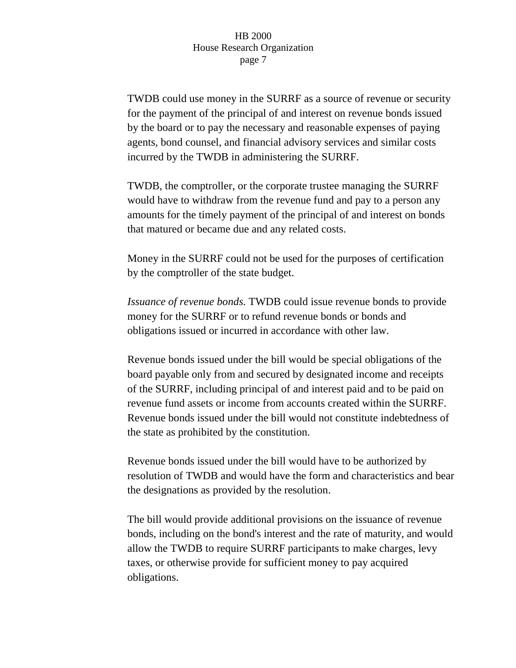TWDB could use money in the SURRF as a source of revenue or security for the payment of the principal of and interest on revenue bonds issued by the board or to pay the necessary and reasonable expenses of paying agents, bond counsel, and financial advisory services and similar costs incurred by the TWDB in administering the SURRF.

TWDB, the comptroller, or the corporate trustee managing the SURRF would have to withdraw from the revenue fund and pay to a person any amounts for the timely payment of the principal of and interest on bonds that matured or became due and any related costs.

Money in the SURRF could not be used for the purposes of certification by the comptroller of the state budget.

*Issuance of revenue bonds.* TWDB could issue revenue bonds to provide money for the SURRF or to refund revenue bonds or bonds and obligations issued or incurred in accordance with other law.

Revenue bonds issued under the bill would be special obligations of the board payable only from and secured by designated income and receipts of the SURRF, including principal of and interest paid and to be paid on revenue fund assets or income from accounts created within the SURRF. Revenue bonds issued under the bill would not constitute indebtedness of the state as prohibited by the constitution.

Revenue bonds issued under the bill would have to be authorized by resolution of TWDB and would have the form and characteristics and bear the designations as provided by the resolution.

The bill would provide additional provisions on the issuance of revenue bonds, including on the bond's interest and the rate of maturity, and would allow the TWDB to require SURRF participants to make charges, levy taxes, or otherwise provide for sufficient money to pay acquired obligations.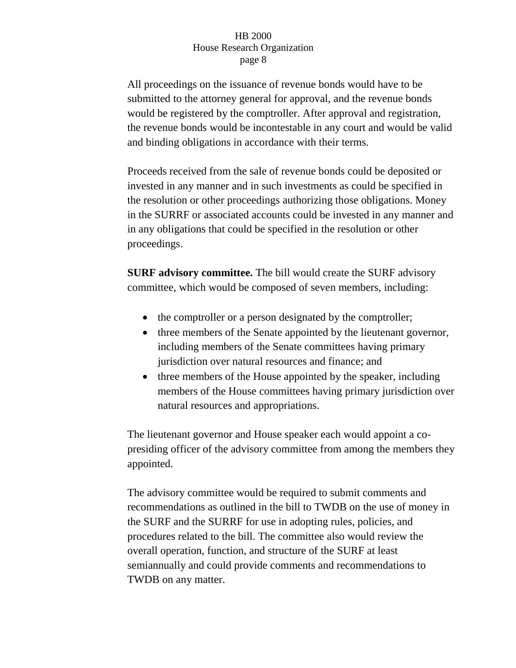All proceedings on the issuance of revenue bonds would have to be submitted to the attorney general for approval, and the revenue bonds would be registered by the comptroller. After approval and registration, the revenue bonds would be incontestable in any court and would be valid and binding obligations in accordance with their terms.

Proceeds received from the sale of revenue bonds could be deposited or invested in any manner and in such investments as could be specified in the resolution or other proceedings authorizing those obligations. Money in the SURRF or associated accounts could be invested in any manner and in any obligations that could be specified in the resolution or other proceedings.

**SURF advisory committee.** The bill would create the SURF advisory committee, which would be composed of seven members, including:

- the comptroller or a person designated by the comptroller;
- three members of the Senate appointed by the lieutenant governor, including members of the Senate committees having primary jurisdiction over natural resources and finance; and
- three members of the House appointed by the speaker, including members of the House committees having primary jurisdiction over natural resources and appropriations.

The lieutenant governor and House speaker each would appoint a copresiding officer of the advisory committee from among the members they appointed.

The advisory committee would be required to submit comments and recommendations as outlined in the bill to TWDB on the use of money in the SURF and the SURRF for use in adopting rules, policies, and procedures related to the bill. The committee also would review the overall operation, function, and structure of the SURF at least semiannually and could provide comments and recommendations to TWDB on any matter.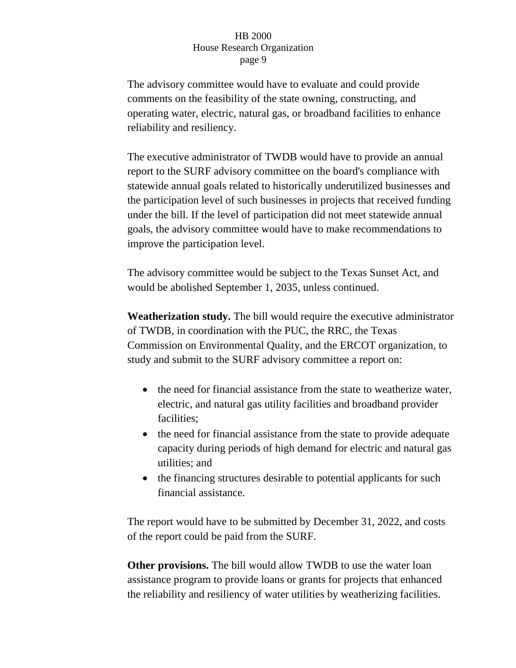The advisory committee would have to evaluate and could provide comments on the feasibility of the state owning, constructing, and operating water, electric, natural gas, or broadband facilities to enhance reliability and resiliency.

The executive administrator of TWDB would have to provide an annual report to the SURF advisory committee on the board's compliance with statewide annual goals related to historically underutilized businesses and the participation level of such businesses in projects that received funding under the bill. If the level of participation did not meet statewide annual goals, the advisory committee would have to make recommendations to improve the participation level.

The advisory committee would be subject to the Texas Sunset Act, and would be abolished September 1, 2035, unless continued.

**Weatherization study.** The bill would require the executive administrator of TWDB, in coordination with the PUC, the RRC, the Texas Commission on Environmental Quality, and the ERCOT organization, to study and submit to the SURF advisory committee a report on:

- the need for financial assistance from the state to weatherize water, electric, and natural gas utility facilities and broadband provider facilities;
- the need for financial assistance from the state to provide adequate capacity during periods of high demand for electric and natural gas utilities; and
- the financing structures desirable to potential applicants for such financial assistance.

The report would have to be submitted by December 31, 2022, and costs of the report could be paid from the SURF.

**Other provisions.** The bill would allow TWDB to use the water loan assistance program to provide loans or grants for projects that enhanced the reliability and resiliency of water utilities by weatherizing facilities.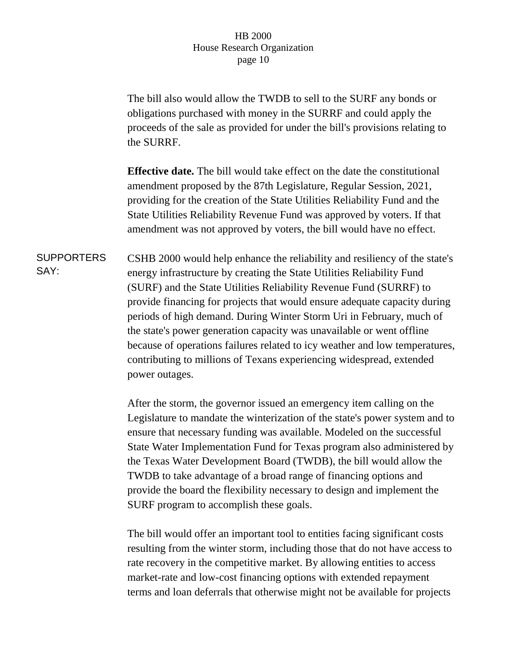The bill also would allow the TWDB to sell to the SURF any bonds or obligations purchased with money in the SURRF and could apply the proceeds of the sale as provided for under the bill's provisions relating to the SURRF.

**Effective date.** The bill would take effect on the date the constitutional amendment proposed by the 87th Legislature, Regular Session, 2021, providing for the creation of the State Utilities Reliability Fund and the State Utilities Reliability Revenue Fund was approved by voters. If that amendment was not approved by voters, the bill would have no effect.

**SUPPORTERS** SAY: CSHB 2000 would help enhance the reliability and resiliency of the state's energy infrastructure by creating the State Utilities Reliability Fund (SURF) and the State Utilities Reliability Revenue Fund (SURRF) to provide financing for projects that would ensure adequate capacity during periods of high demand. During Winter Storm Uri in February, much of the state's power generation capacity was unavailable or went offline because of operations failures related to icy weather and low temperatures, contributing to millions of Texans experiencing widespread, extended power outages.

> After the storm, the governor issued an emergency item calling on the Legislature to mandate the winterization of the state's power system and to ensure that necessary funding was available. Modeled on the successful State Water Implementation Fund for Texas program also administered by the Texas Water Development Board (TWDB), the bill would allow the TWDB to take advantage of a broad range of financing options and provide the board the flexibility necessary to design and implement the SURF program to accomplish these goals.

> The bill would offer an important tool to entities facing significant costs resulting from the winter storm, including those that do not have access to rate recovery in the competitive market. By allowing entities to access market-rate and low-cost financing options with extended repayment terms and loan deferrals that otherwise might not be available for projects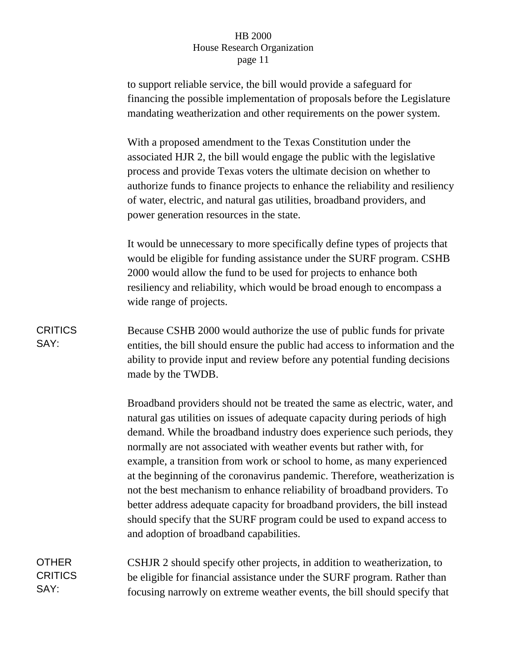to support reliable service, the bill would provide a safeguard for financing the possible implementation of proposals before the Legislature mandating weatherization and other requirements on the power system.

With a proposed amendment to the Texas Constitution under the associated HJR 2, the bill would engage the public with the legislative process and provide Texas voters the ultimate decision on whether to authorize funds to finance projects to enhance the reliability and resiliency of water, electric, and natural gas utilities, broadband providers, and power generation resources in the state.

It would be unnecessary to more specifically define types of projects that would be eligible for funding assistance under the SURF program. CSHB 2000 would allow the fund to be used for projects to enhance both resiliency and reliability, which would be broad enough to encompass a wide range of projects.

**CRITICS** SAY: Because CSHB 2000 would authorize the use of public funds for private entities, the bill should ensure the public had access to information and the ability to provide input and review before any potential funding decisions made by the TWDB.

> Broadband providers should not be treated the same as electric, water, and natural gas utilities on issues of adequate capacity during periods of high demand. While the broadband industry does experience such periods, they normally are not associated with weather events but rather with, for example, a transition from work or school to home, as many experienced at the beginning of the coronavirus pandemic. Therefore, weatherization is not the best mechanism to enhance reliability of broadband providers. To better address adequate capacity for broadband providers, the bill instead should specify that the SURF program could be used to expand access to and adoption of broadband capabilities.

#### **OTHER CRITICS** SAY: CSHJR 2 should specify other projects, in addition to weatherization, to be eligible for financial assistance under the SURF program. Rather than focusing narrowly on extreme weather events, the bill should specify that